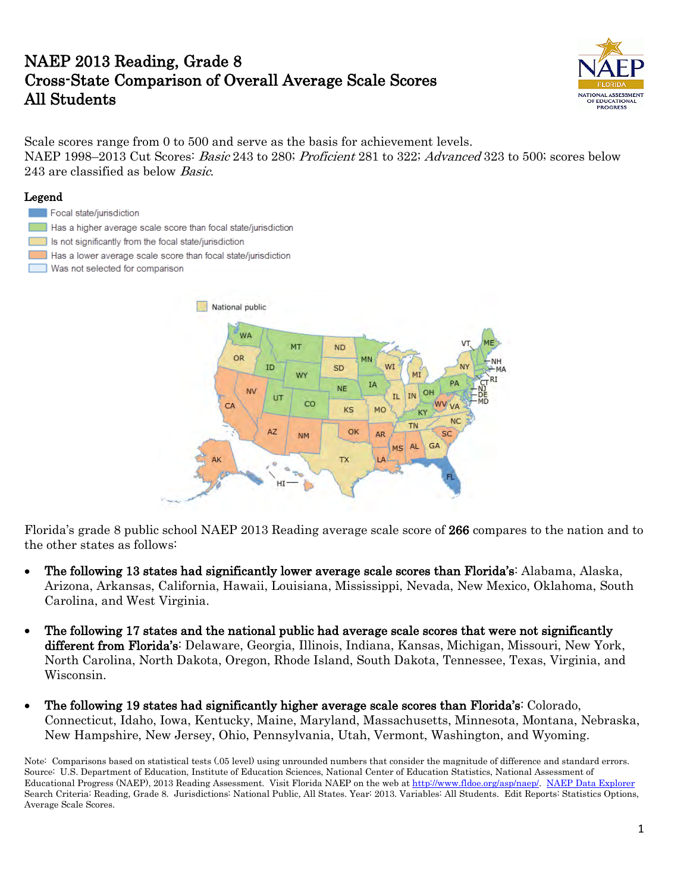## NAEP 2013 Reading, Grade 8 Cross-State Comparison of Overall Average Scale Scores All Students



Scale scores range from 0 to 500 and serve as the basis for achievement levels. NAEP 1998–2013 Cut Scores: *Basic* 243 to 280; *Proficient* 281 to 322; *Advanced* 323 to 500; scores below 243 are classified as below Basic.

#### Legend

- Focal state/jurisdiction Has a higher average scale score than focal state/jurisdiction Is not significantly from the focal state/jurisdiction
- Has a lower average scale score than focal state/jurisdiction
- Was not selected for comparison г



Florida's grade 8 public school NAEP 2013 Reading average scale score of 266 compares to the nation and to the other states as follows:

- The following 13 states had significantly lower average scale scores than Florida's: Alabama, Alaska, Arizona, Arkansas, California, Hawaii, Louisiana, Mississippi, Nevada, New Mexico, Oklahoma, South Carolina, and West Virginia.
- The following 17 states and the national public had average scale scores that were not significantly different from Florida's: Delaware, Georgia, Illinois, Indiana, Kansas, Michigan, Missouri, New York, North Carolina, North Dakota, Oregon, Rhode Island, South Dakota, Tennessee, Texas, Virginia, and Wisconsin.
- The following 19 states had significantly higher average scale scores than Florida's: Colorado, Connecticut, Idaho, Iowa, Kentucky, Maine, Maryland, Massachusetts, Minnesota, Montana, Nebraska, New Hampshire, New Jersey, Ohio, Pennsylvania, Utah, Vermont, Washington, and Wyoming.

Note: Comparisons based on statistical tests (.05 level) using unrounded numbers that consider the magnitude of difference and standard errors. Source: U.S. Department of Education, Institute of Education Sciences, National Center of Education Statistics, National Assessment of Educational Progress (NAEP), 2013 Reading Assessment. Visit Florida NAEP on the web at [http://www.fldoe.org/asp/naep/.](http://www.fldoe.org/asp/naep/) [NAEP Data Explorer](http://nces.ed.gov/nationsreportcard/naepdata/) Search Criteria: Reading, Grade 8. Jurisdictions: National Public, All States. Year: 2013. Variables: All Students. Edit Reports: Statistics Options, Average Scale Scores.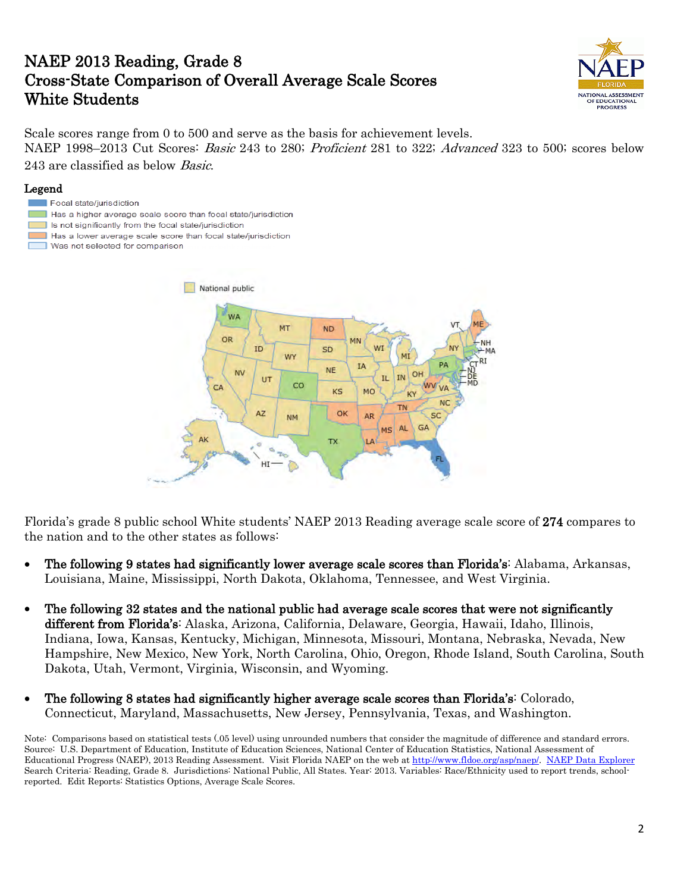## NAEP 2013 Reading, Grade 8 Cross-State Comparison of Overall Average Scale Scores White Students



Scale scores range from 0 to 500 and serve as the basis for achievement levels. NAEP 1998–2013 Cut Scores: *Basic* 243 to 280; *Proficient* 281 to 322; *Advanced* 323 to 500; scores below

### 243 are classified as below Basic.

#### Legend

- Focal state/jurisdiction
- Has a higher average scale score than focal state/jurisdiction
- Is not significantly from the focal state/jurisdiction
- Has a lower average scale score than focal state/jurisdiction
- Was not selected for comparison г



Florida's grade 8 public school White students' NAEP 2013 Reading average scale score of 274 compares to the nation and to the other states as follows:

- The following 9 states had significantly lower average scale scores than Florida's: Alabama, Arkansas, Louisiana, Maine, Mississippi, North Dakota, Oklahoma, Tennessee, and West Virginia.
- The following 32 states and the national public had average scale scores that were not significantly different from Florida's: Alaska, Arizona, California, Delaware, Georgia, Hawaii, Idaho, Illinois, Indiana, Iowa, Kansas, Kentucky, Michigan, Minnesota, Missouri, Montana, Nebraska, Nevada, New Hampshire, New Mexico, New York, North Carolina, Ohio, Oregon, Rhode Island, South Carolina, South Dakota, Utah, Vermont, Virginia, Wisconsin, and Wyoming.
- The following 8 states had significantly higher average scale scores than Florida's: Colorado, Connecticut, Maryland, Massachusetts, New Jersey, Pennsylvania, Texas, and Washington.

Note: Comparisons based on statistical tests (.05 level) using unrounded numbers that consider the magnitude of difference and standard errors. Source: U.S. Department of Education, Institute of Education Sciences, National Center of Education Statistics, National Assessment of Educational Progress (NAEP), 2013 Reading Assessment. Visit Florida NAEP on the web at [http://www.fldoe.org/asp/naep/.](http://www.fldoe.org/asp/naep/) [NAEP Data Explorer](http://nces.ed.gov/nationsreportcard/naepdata/) Search Criteria: Reading, Grade 8. Jurisdictions: National Public, All States. Year: 2013. Variables: Race/Ethnicity used to report trends, schoolreported. Edit Reports: Statistics Options, Average Scale Scores.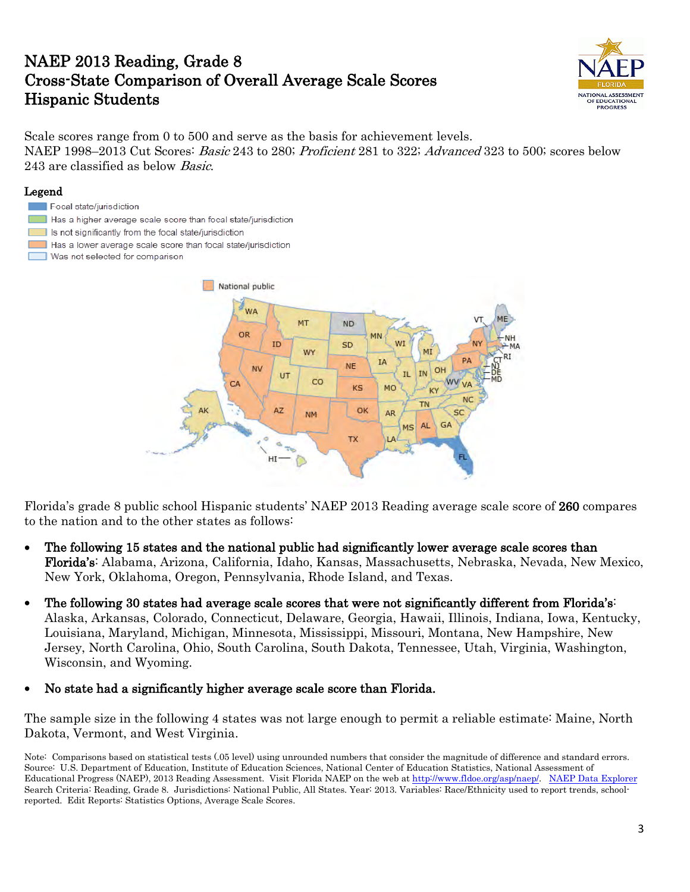## NAEP 2013 Reading, Grade 8 Cross-State Comparison of Overall Average Scale Scores Hispanic Students



Scale scores range from 0 to 500 and serve as the basis for achievement levels. NAEP 1998–2013 Cut Scores: *Basic* 243 to 280; *Proficient* 281 to 322; *Advanced* 323 to 500; scores below 243 are classified as below Basic.

#### Legend

- Focal state/jurisdiction
- Has a higher average scale score than focal state/jurisdiction
- Is not significantly from the focal state/jurisdiction
- Has a lower average scale score than focal state/jurisdiction
- Was not selected for comparison



Florida's grade 8 public school Hispanic students' NAEP 2013 Reading average scale score of 260 compares to the nation and to the other states as follows:

- The following 15 states and the national public had significantly lower average scale scores than Florida's: Alabama, Arizona, California, Idaho, Kansas, Massachusetts, Nebraska, Nevada, New Mexico, New York, Oklahoma, Oregon, Pennsylvania, Rhode Island, and Texas.
- The following 30 states had average scale scores that were not significantly different from Florida's: Alaska, Arkansas, Colorado, Connecticut, Delaware, Georgia, Hawaii, Illinois, Indiana, Iowa, Kentucky, Louisiana, Maryland, Michigan, Minnesota, Mississippi, Missouri, Montana, New Hampshire, New Jersey, North Carolina, Ohio, South Carolina, South Dakota, Tennessee, Utah, Virginia, Washington, Wisconsin, and Wyoming.
- No state had a significantly higher average scale score than Florida.

The sample size in the following 4 states was not large enough to permit a reliable estimate: Maine, North Dakota, Vermont, and West Virginia.

Note: Comparisons based on statistical tests (.05 level) using unrounded numbers that consider the magnitude of difference and standard errors. Source: U.S. Department of Education, Institute of Education Sciences, National Center of Education Statistics, National Assessment of Educational Progress (NAEP), 2013 Reading Assessment. Visit Florida NAEP on the web at [http://www.fldoe.org/asp/naep/.](http://www.fldoe.org/asp/naep/) [NAEP Data Explorer](http://nces.ed.gov/nationsreportcard/naepdata/) Search Criteria: Reading, Grade 8. Jurisdictions: National Public, All States. Year: 2013. Variables: Race/Ethnicity used to report trends, schoolreported. Edit Reports: Statistics Options, Average Scale Scores.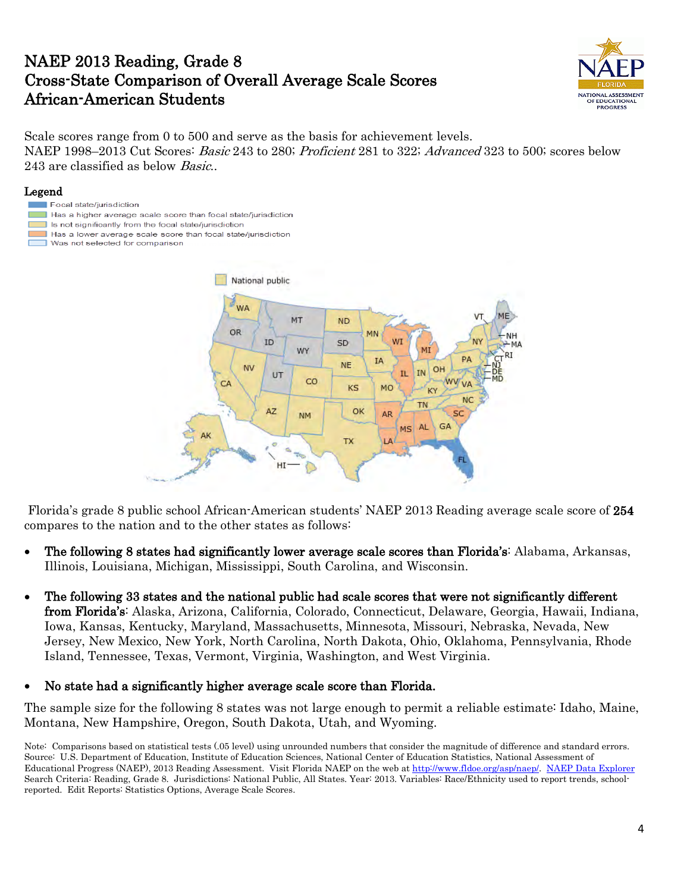## NAEP 2013 Reading, Grade 8 Cross-State Comparison of Overall Average Scale Scores African-American Students



Scale scores range from 0 to 500 and serve as the basis for achievement levels. NAEP 1998–2013 Cut Scores: *Basic* 243 to 280; *Proficient* 281 to 322; *Advanced* 323 to 500; scores below 243 are classified as below *Basic*..

#### Legend

- Focal state/jurisdiction
- Has a higher average scale score than focal state/jurisdiction
- Is not significantly from the focal state/jurisdiction
- Has a lower average scale score than focal state/jurisdiction
- E Was not selected for comparison



 Florida's grade 8 public school African-American students' NAEP 2013 Reading average scale score of 254 compares to the nation and to the other states as follows:

- The following 8 states had significantly lower average scale scores than Florida's: Alabama, Arkansas, Illinois, Louisiana, Michigan, Mississippi, South Carolina, and Wisconsin.
- The following 33 states and the national public had scale scores that were not significantly different from Florida's: Alaska, Arizona, California, Colorado, Connecticut, Delaware, Georgia, Hawaii, Indiana, Iowa, Kansas, Kentucky, Maryland, Massachusetts, Minnesota, Missouri, Nebraska, Nevada, New Jersey, New Mexico, New York, North Carolina, North Dakota, Ohio, Oklahoma, Pennsylvania, Rhode Island, Tennessee, Texas, Vermont, Virginia, Washington, and West Virginia.

#### • No state had a significantly higher average scale score than Florida.

The sample size for the following 8 states was not large enough to permit a reliable estimate: Idaho, Maine, Montana, New Hampshire, Oregon, South Dakota, Utah, and Wyoming.

Note: Comparisons based on statistical tests (.05 level) using unrounded numbers that consider the magnitude of difference and standard errors. Source: U.S. Department of Education, Institute of Education Sciences, National Center of Education Statistics, National Assessment of Educational Progress (NAEP), 2013 Reading Assessment. Visit Florida NAEP on the web at [http://www.fldoe.org/asp/naep/.](http://www.fldoe.org/asp/naep/) [NAEP Data Explorer](http://nces.ed.gov/nationsreportcard/naepdata/) Search Criteria: Reading, Grade 8. Jurisdictions: National Public, All States. Year: 2013. Variables: Race/Ethnicity used to report trends, schoolreported. Edit Reports: Statistics Options, Average Scale Scores.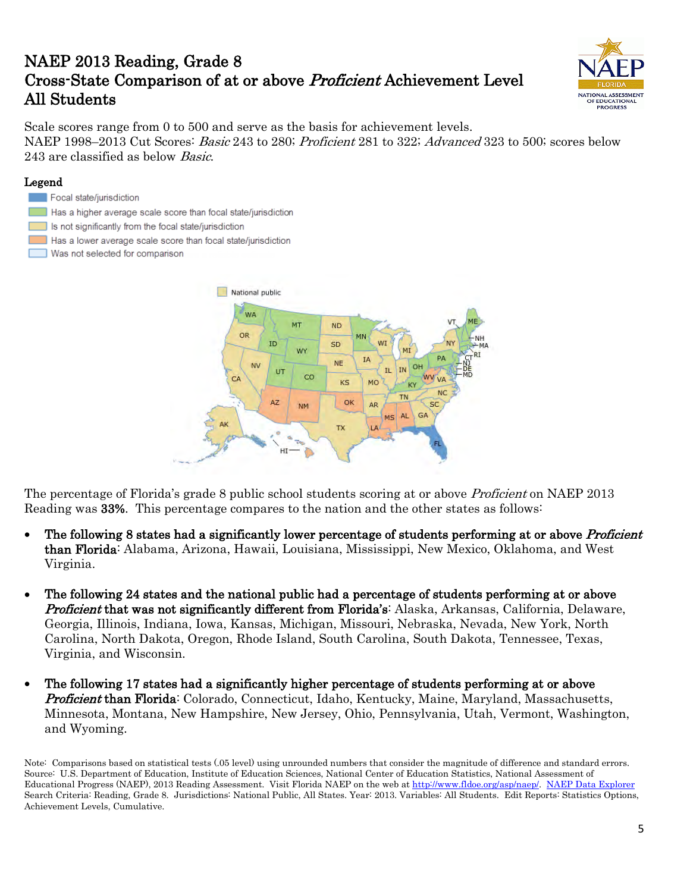# NAEP 2013 Reading, Grade 8 Cross-State Comparison of at or above Proficient Achievement Level All Students



Scale scores range from 0 to 500 and serve as the basis for achievement levels. NAEP 1998–2013 Cut Scores: *Basic* 243 to 280; *Proficient* 281 to 322; *Advanced* 323 to 500; scores below 243 are classified as below Basic.

### Legend

- Focal state/jurisdiction
- Has a higher average scale score than focal state/jurisdiction
- Is not significantly from the focal state/jurisdiction
- Has a lower average scale score than focal state/jurisdiction
- Е Was not selected for comparison



The percentage of Florida's grade 8 public school students scoring at or above *Proficient* on NAEP 2013 Reading was 33%. This percentage compares to the nation and the other states as follows:

- The following 8 states had a significantly lower percentage of students performing at or above *Proficient* than Florida: Alabama, Arizona, Hawaii, Louisiana, Mississippi, New Mexico, Oklahoma, and West Virginia.
- The following 24 states and the national public had a percentage of students performing at or above **Proficient that was not significantly different from Florida's:** Alaska, Arkansas, California, Delaware, Georgia, Illinois, Indiana, Iowa, Kansas, Michigan, Missouri, Nebraska, Nevada, New York, North Carolina, North Dakota, Oregon, Rhode Island, South Carolina, South Dakota, Tennessee, Texas, Virginia, and Wisconsin.
- The following 17 states had a significantly higher percentage of students performing at or above **Proficient than Florida**: Colorado, Connecticut, Idaho, Kentucky, Maine, Maryland, Massachusetts, Minnesota, Montana, New Hampshire, New Jersey, Ohio, Pennsylvania, Utah, Vermont, Washington, and Wyoming.

Note: Comparisons based on statistical tests (.05 level) using unrounded numbers that consider the magnitude of difference and standard errors. Source: U.S. Department of Education, Institute of Education Sciences, National Center of Education Statistics, National Assessment of Educational Progress (NAEP), 2013 Reading Assessment. Visit Florida NAEP on the web at [http://www.fldoe.org/asp/naep/.](http://www.fldoe.org/asp/naep/) [NAEP Data Explorer](http://nces.ed.gov/nationsreportcard/naepdata/) Search Criteria: Reading, Grade 8. Jurisdictions: National Public, All States. Year: 2013. Variables: All Students. Edit Reports: Statistics Options, Achievement Levels, Cumulative.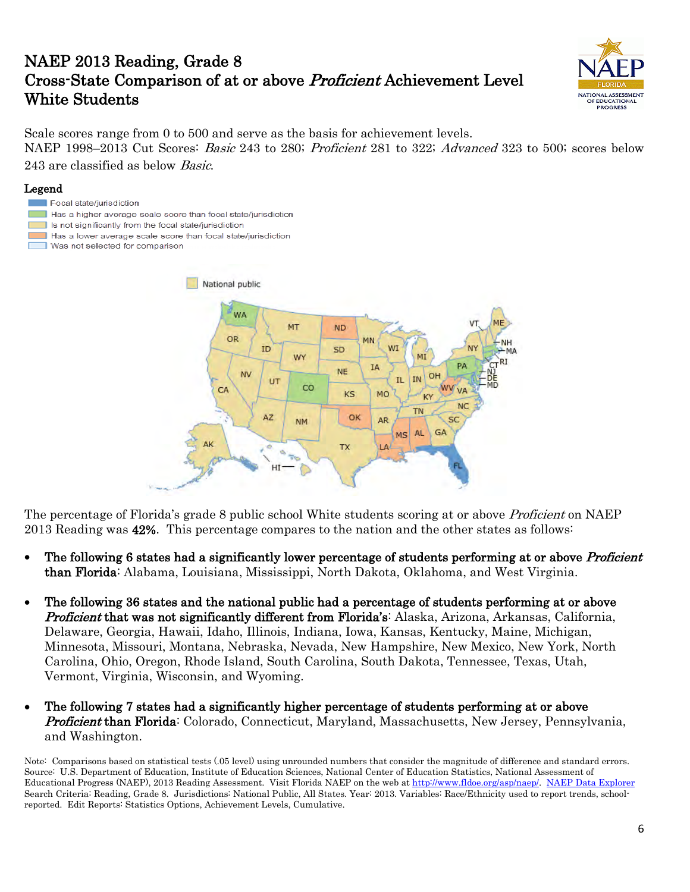# NAEP 2013 Reading, Grade 8 Cross-State Comparison of at or above Proficient Achievement Level White Students



Scale scores range from 0 to 500 and serve as the basis for achievement levels. NAEP 1998–2013 Cut Scores: *Basic* 243 to 280; *Proficient* 281 to 322; *Advanced* 323 to 500; scores below 243 are classified as below Basic.

#### Legend

г

Focal state/jurisdiction Has a higher average scale score than focal state/jurisdiction Is not significantly from the focal state/jurisdiction Has a lower average scale score than focal state/jurisdiction Was not selected for comparison National public WA MT **ND** OR MN ID SD WY **IA NE** NV  $O<sub>H</sub>$ **IN** IL. UT CO  $C\Delta$  $\overline{V}$ KS MO **KV NC TN** OK AZ AR **NM** AL. **GA MS TX** LA HI

The percentage of Florida's grade 8 public school White students scoring at or above *Proficient* on NAEP 2013 Reading was 42%. This percentage compares to the nation and the other states as follows:

- The following 6 states had a significantly lower percentage of students performing at or above *Proficient* than Florida: Alabama, Louisiana, Mississippi, North Dakota, Oklahoma, and West Virginia.
- The following 36 states and the national public had a percentage of students performing at or above **Proficient that was not significantly different from Florida's:** Alaska, Arizona, Arkansas, California, Delaware, Georgia, Hawaii, Idaho, Illinois, Indiana, Iowa, Kansas, Kentucky, Maine, Michigan, Minnesota, Missouri, Montana, Nebraska, Nevada, New Hampshire, New Mexico, New York, North Carolina, Ohio, Oregon, Rhode Island, South Carolina, South Dakota, Tennessee, Texas, Utah, Vermont, Virginia, Wisconsin, and Wyoming.
- The following 7 states had a significantly higher percentage of students performing at or above **Proficient than Florida**: Colorado, Connecticut, Maryland, Massachusetts, New Jersey, Pennsylvania, and Washington.

Note: Comparisons based on statistical tests (.05 level) using unrounded numbers that consider the magnitude of difference and standard errors. Source: U.S. Department of Education, Institute of Education Sciences, National Center of Education Statistics, National Assessment of Educational Progress (NAEP), 2013 Reading Assessment. Visit Florida NAEP on the web at [http://www.fldoe.org/asp/naep/.](http://www.fldoe.org/asp/naep/) [NAEP Data Explorer](http://nces.ed.gov/nationsreportcard/naepdata/) Search Criteria: Reading, Grade 8. Jurisdictions: National Public, All States. Year: 2013. Variables: Race/Ethnicity used to report trends, schoolreported. Edit Reports: Statistics Options, Achievement Levels, Cumulative.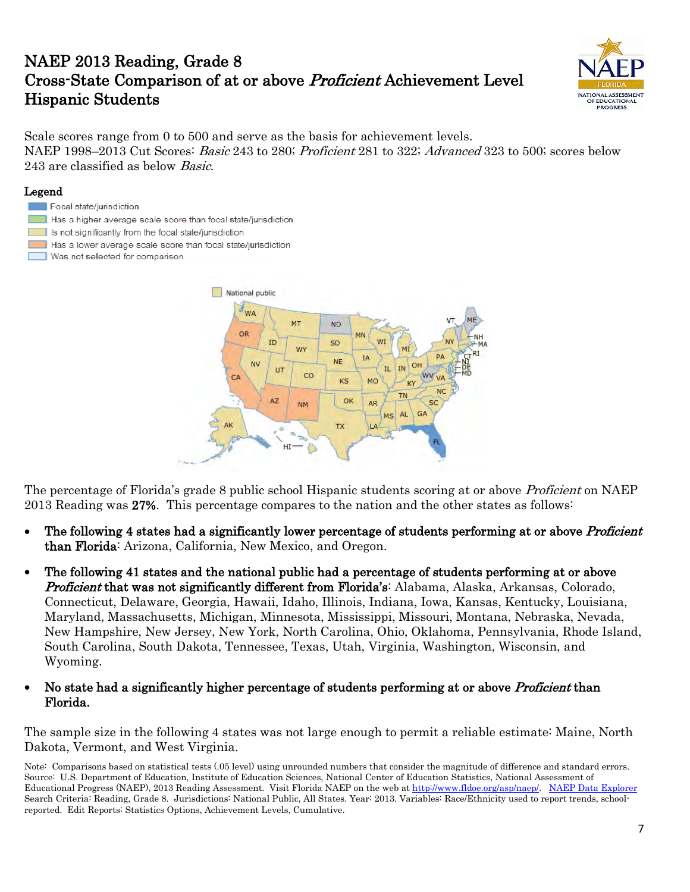# NAEP 2013 Reading, Grade 8 Cross-State Comparison of at or above Proficient Achievement Level Hispanic Students



Scale scores range from 0 to 500 and serve as the basis for achievement levels. NAEP 1998–2013 Cut Scores: *Basic* 243 to 280; *Proficient* 281 to 322; *Advanced* 323 to 500; scores below 243 are classified as below Basic.

#### Legend

- Focal state/jurisdiction
- Has a higher average scale score than focal state/jurisdiction
- Is not significantly from the focal state/jurisdiction
- Has a lower average scale score than focal state/jurisdiction
- Was not selected for comparison



The percentage of Florida's grade 8 public school Hispanic students scoring at or above *Proficient* on NAEP 2013 Reading was 27%. This percentage compares to the nation and the other states as follows:

- The following 4 states had a significantly lower percentage of students performing at or above *Proficient* than Florida: Arizona, California, New Mexico, and Oregon.
- The following 41 states and the national public had a percentage of students performing at or above **Proficient that was not significantly different from Florida's:** Alabama, Alaska, Arkansas, Colorado, Connecticut, Delaware, Georgia, Hawaii, Idaho, Illinois, Indiana, Iowa, Kansas, Kentucky, Louisiana, Maryland, Massachusetts, Michigan, Minnesota, Mississippi, Missouri, Montana, Nebraska, Nevada, New Hampshire, New Jersey, New York, North Carolina, Ohio, Oklahoma, Pennsylvania, Rhode Island, South Carolina, South Dakota, Tennessee, Texas, Utah, Virginia, Washington, Wisconsin, and Wyoming.

### No state had a significantly higher percentage of students performing at or above *Proficient* than Florida.

The sample size in the following 4 states was not large enough to permit a reliable estimate: Maine, North Dakota, Vermont, and West Virginia.

Note: Comparisons based on statistical tests (.05 level) using unrounded numbers that consider the magnitude of difference and standard errors. Source: U.S. Department of Education, Institute of Education Sciences, National Center of Education Statistics, National Assessment of Educational Progress (NAEP), 2013 Reading Assessment. Visit Florida NAEP on the web at [http://www.fldoe.org/asp/naep/.](http://www.fldoe.org/asp/naep/) [NAEP Data Explorer](http://nces.ed.gov/nationsreportcard/naepdata/) Search Criteria: Reading, Grade 8. Jurisdictions: National Public, All States. Year: 2013. Variables: Race/Ethnicity used to report trends, schoolreported. Edit Reports: Statistics Options, Achievement Levels, Cumulative.